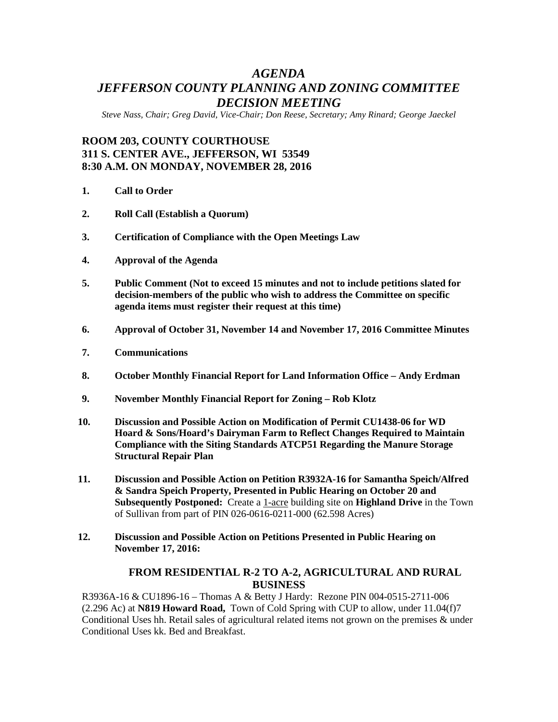# *AGENDA JEFFERSON COUNTY PLANNING AND ZONING COMMITTEE DECISION MEETING*

*Steve Nass, Chair; Greg David, Vice-Chair; Don Reese, Secretary; Amy Rinard; George Jaeckel*

# **ROOM 203, COUNTY COURTHOUSE 311 S. CENTER AVE., JEFFERSON, WI 53549 8:30 A.M. ON MONDAY, NOVEMBER 28, 2016**

- **1. Call to Order**
- **2. Roll Call (Establish a Quorum)**
- **3. Certification of Compliance with the Open Meetings Law**
- **4. Approval of the Agenda**
- **5. Public Comment (Not to exceed 15 minutes and not to include petitions slated for decision-members of the public who wish to address the Committee on specific agenda items must register their request at this time)**
- **6. Approval of October 31, November 14 and November 17, 2016 Committee Minutes**
- **7. Communications**
- **8. October Monthly Financial Report for Land Information Office – Andy Erdman**
- **9. November Monthly Financial Report for Zoning – Rob Klotz**
- **10. Discussion and Possible Action on Modification of Permit CU1438-06 for WD Hoard & Sons/Hoard's Dairyman Farm to Reflect Changes Required to Maintain Compliance with the Siting Standards ATCP51 Regarding the Manure Storage Structural Repair Plan**
- **11. Discussion and Possible Action on Petition R3932A-16 for Samantha Speich/Alfred & Sandra Speich Property, Presented in Public Hearing on October 20 and Subsequently Postponed:** Create a 1-acre building site on **Highland Drive** in the Town of Sullivan from part of PIN 026-0616-0211-000 (62.598 Acres)
- **12. Discussion and Possible Action on Petitions Presented in Public Hearing on November 17, 2016:**

### **FROM RESIDENTIAL R-2 TO A-2, AGRICULTURAL AND RURAL BUSINESS**

R3936A-16 & CU1896-16 – Thomas A & Betty J Hardy: Rezone PIN 004-0515-2711-006 (2.296 Ac) at **N819 Howard Road,** Town of Cold Spring with CUP to allow, under 11.04(f)7 Conditional Uses hh. Retail sales of agricultural related items not grown on the premises & under Conditional Uses kk. Bed and Breakfast.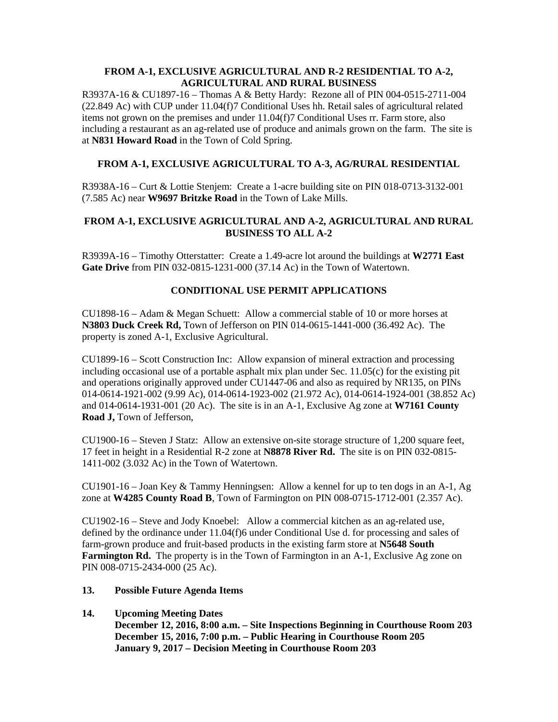#### **FROM A-1, EXCLUSIVE AGRICULTURAL AND R-2 RESIDENTIAL TO A-2, AGRICULTURAL AND RURAL BUSINESS**

R3937A-16 & CU1897-16 – Thomas A & Betty Hardy: Rezone all of PIN 004-0515-2711-004 (22.849 Ac) with CUP under 11.04(f)7 Conditional Uses hh. Retail sales of agricultural related items not grown on the premises and under 11.04(f)7 Conditional Uses rr. Farm store, also including a restaurant as an ag-related use of produce and animals grown on the farm. The site is at **N831 Howard Road** in the Town of Cold Spring.

## **FROM A-1, EXCLUSIVE AGRICULTURAL TO A-3, AG/RURAL RESIDENTIAL**

R3938A-16 – Curt & Lottie Stenjem: Create a 1-acre building site on PIN 018-0713-3132-001 (7.585 Ac) near **W9697 Britzke Road** in the Town of Lake Mills.

### **FROM A-1, EXCLUSIVE AGRICULTURAL AND A-2, AGRICULTURAL AND RURAL BUSINESS TO ALL A-2**

R3939A-16 – Timothy Otterstatter: Create a 1.49-acre lot around the buildings at **W2771 East Gate Drive** from PIN 032-0815-1231-000 (37.14 Ac) in the Town of Watertown.

### **CONDITIONAL USE PERMIT APPLICATIONS**

CU1898-16 – Adam & Megan Schuett: Allow a commercial stable of 10 or more horses at **N3803 Duck Creek Rd,** Town of Jefferson on PIN 014-0615-1441-000 (36.492 Ac). The property is zoned A-1, Exclusive Agricultural.

CU1899-16 – Scott Construction Inc: Allow expansion of mineral extraction and processing including occasional use of a portable asphalt mix plan under Sec. 11.05(c) for the existing pit and operations originally approved under CU1447-06 and also as required by NR135, on PINs 014-0614-1921-002 (9.99 Ac), 014-0614-1923-002 (21.972 Ac), 014-0614-1924-001 (38.852 Ac) and 014-0614-1931-001 (20 Ac). The site is in an A-1, Exclusive Ag zone at **W7161 County Road J,** Town of Jefferson,

CU1900-16 – Steven J Statz: Allow an extensive on-site storage structure of 1,200 square feet, 17 feet in height in a Residential R-2 zone at **N8878 River Rd.** The site is on PIN 032-0815- 1411-002 (3.032 Ac) in the Town of Watertown.

CU1901-16 – Joan Key  $&$  Tammy Henningsen: Allow a kennel for up to ten dogs in an A-1, Ag zone at **W4285 County Road B**, Town of Farmington on PIN 008-0715-1712-001 (2.357 Ac).

CU1902-16 – Steve and Jody Knoebel: Allow a commercial kitchen as an ag-related use, defined by the ordinance under 11.04(f)6 under Conditional Use d. for processing and sales of farm-grown produce and fruit-based products in the existing farm store at **N5648 South Farmington Rd.** The property is in the Town of Farmington in an A-1, Exclusive Ag zone on PIN 008-0715-2434-000 (25 Ac).

#### **13. Possible Future Agenda Items**

**14. Upcoming Meeting Dates**

**December 12, 2016, 8:00 a.m. – Site Inspections Beginning in Courthouse Room 203 December 15, 2016, 7:00 p.m. – Public Hearing in Courthouse Room 205 January 9, 2017 – Decision Meeting in Courthouse Room 203**